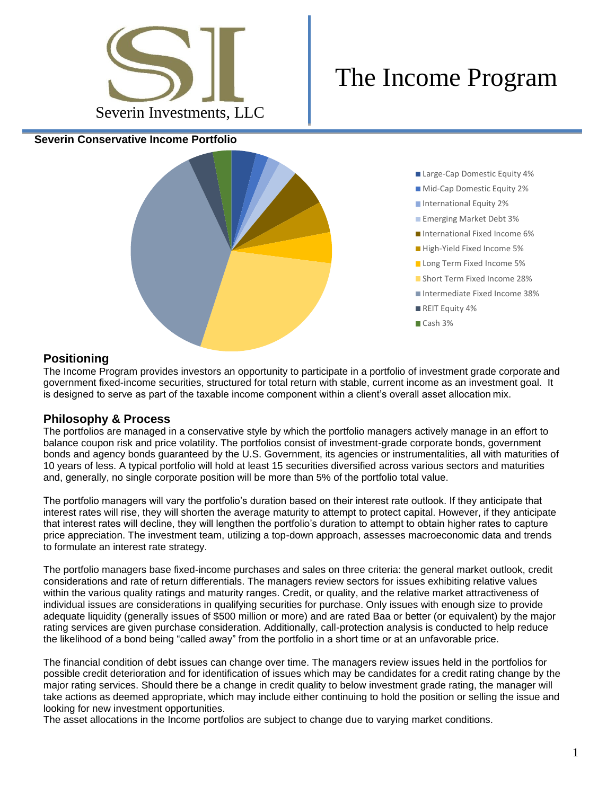

## The Income Program

**Severin Conservative Income Portfolio**



Large-Cap Domestic Equity 4% **Mid-Cap Domestic Equity 2% International Equity 2% Emerging Market Debt 3%** International Fixed Income 6% High-Yield Fixed Income 5% **Long Term Fixed Income 5% Short Term Fixed Income 28%** Intermediate Fixed Income 38% REIT Equity 4% Cash 3%

## **Positioning**

The Income Program provides investors an opportunity to participate in a portfolio of investment grade corporate and government fixed-income securities, structured for total return with stable, current income as an investment goal. It is designed to serve as part of the taxable income component within a client's overall asset allocation mix.

## **Philosophy & Process**

The portfolios are managed in a conservative style by which the portfolio managers actively manage in an effort to balance coupon risk and price volatility. The portfolios consist of investment-grade corporate bonds, government bonds and agency bonds guaranteed by the U.S. Government, its agencies or instrumentalities, all with maturities of 10 years of less. A typical portfolio will hold at least 15 securities diversified across various sectors and maturities and, generally, no single corporate position will be more than 5% of the portfolio total value.

The portfolio managers will vary the portfolio's duration based on their interest rate outlook. If they anticipate that interest rates will rise, they will shorten the average maturity to attempt to protect capital. However, if they anticipate that interest rates will decline, they will lengthen the portfolio's duration to attempt to obtain higher rates to capture price appreciation. The investment team, utilizing a top-down approach, assesses macroeconomic data and trends to formulate an interest rate strategy.

The portfolio managers base fixed-income purchases and sales on three criteria: the general market outlook, credit considerations and rate of return differentials. The managers review sectors for issues exhibiting relative values within the various quality ratings and maturity ranges. Credit, or quality, and the relative market attractiveness of individual issues are considerations in qualifying securities for purchase. Only issues with enough size to provide adequate liquidity (generally issues of \$500 million or more) and are rated Baa or better (or equivalent) by the major rating services are given purchase consideration. Additionally, call-protection analysis is conducted to help reduce the likelihood of a bond being "called away" from the portfolio in a short time or at an unfavorable price.

The financial condition of debt issues can change over time. The managers review issues held in the portfolios for possible credit deterioration and for identification of issues which may be candidates for a credit rating change by the major rating services. Should there be a change in credit quality to below investment grade rating, the manager will take actions as deemed appropriate, which may include either continuing to hold the position or selling the issue and looking for new investment opportunities.

The asset allocations in the Income portfolios are subject to change due to varying market conditions.